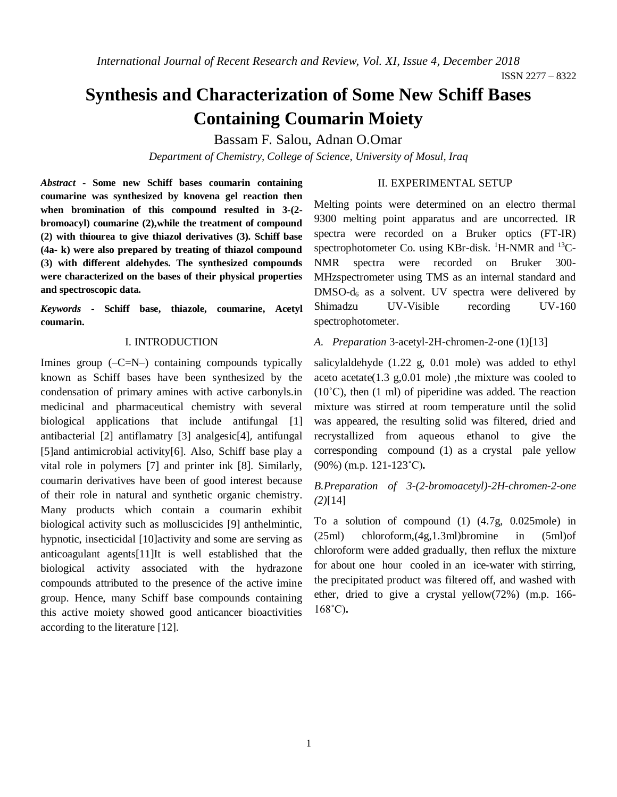# **Synthesis and Characterization of Some New Schiff Bases Containing Coumarin Moiety**

Bassam F. Salou, Adnan O.Omar

*Department of Chemistry, College of Science, University of Mosul, Iraq*

*Abstract* **- Some new Schiff bases coumarin containing coumarine was synthesized by knovena gel reaction then when bromination of this compound resulted in 3-(2 bromoacyl) coumarine (2),while the treatment of compound (2) with thiourea to give thiazol derivatives (3). Schiff base (4a- k) were also prepared by treating of thiazol compound (3) with different aldehydes. The synthesized compounds were characterized on the bases of their physical properties and spectroscopic data.** 

*Keywords* **- Schiff base, thiazole, coumarine, Acetyl coumarin.** 

#### I. INTRODUCTION

Imines group  $(-C=N-)$  containing compounds typically known as Schiff bases have been synthesized by the condensation of primary amines with active carbonyls.in medicinal and pharmaceutical chemistry with several biological applications that include antifungal [1] antibacterial [2] antiflamatry [3] analgesic[4], antifungal [5]and antimicrobial activity[6]. Also, Schiff base play a vital role in polymers [7] and printer ink [8]. Similarly, coumarin derivatives have been of good interest because of their role in natural and synthetic organic chemistry. Many products which contain a coumarin exhibit biological activity such as molluscicides [9] anthelmintic, hypnotic, insecticidal [10]activity and some are serving as anticoagulant agents[11]It is well established that the biological activity associated with the hydrazone compounds attributed to the presence of the active imine group. Hence, many Schiff base compounds containing this active moiety showed good anticancer bioactivities according to the literature [12].

### II. EXPERIMENTAL SETUP

Melting points were determined on an electro thermal 9300 melting point apparatus and are uncorrected. IR spectra were recorded on a Bruker optics (FT-IR) spectrophotometer Co. using KBr-disk.  $^1$ H-NMR and  $^{13}$ C-NMR spectra were recorded on Bruker 300- MHzspectrometer using TMS as an internal standard and  $DMSO-d<sub>6</sub>$  as a solvent. UV spectra were delivered by Shimadzu UV-Visible recording UV-160 spectrophotometer.

*A. Preparation* 3-acetyl-2H-chromen-2-one (1)[13]

salicylaldehyde (1.22 g, 0.01 mole) was added to ethyl aceto acetate(1.3 g,0.01 mole) ,the mixture was cooled to  $(10^{\circ}$ C), then  $(1 \text{ ml})$  of piperidine was added. The reaction mixture was stirred at room temperature until the solid was appeared, the resulting solid was filtered, dried and recrystallized from aqueous ethanol to give the corresponding compound (1) as a crystal pale yellow (90%) (m.p. 121-123˚C)**.**

## *B.Preparation of 3-(2-bromoacetyl)-2H-chromen-2-one (2)*[14]

To a solution of compound (1) (4.7g, 0.025mole) in (25ml) chloroform,(4g,1.3ml)bromine in (5ml)of chloroform were added gradually, then reflux the mixture for about one hour cooled in an ice-water with stirring, the precipitated product was filtered off, and washed with ether, dried to give a crystal yellow(72%) (m.p. 166- 168˚C)**.**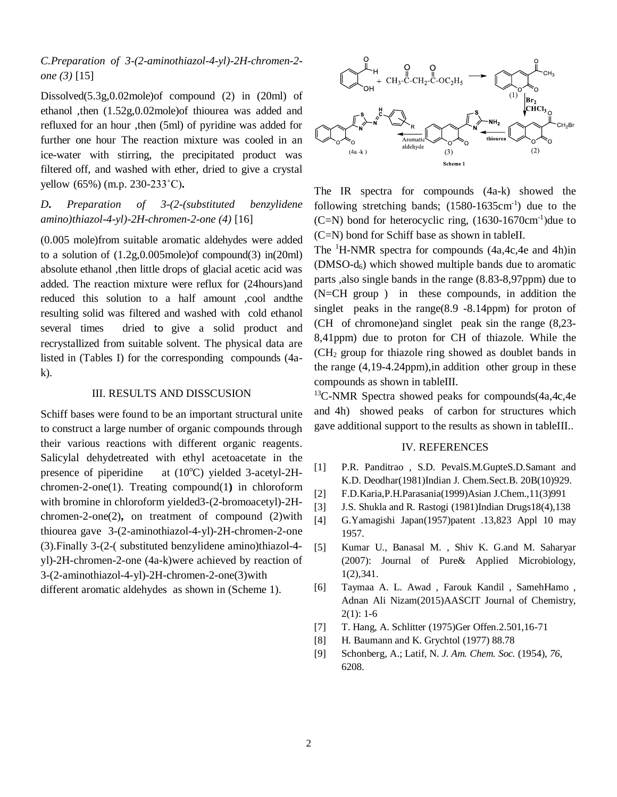# *C.Preparation of 3-(2-aminothiazol-4-yl)-2H-chromen-2 one (3)* [15]

Dissolved(5.3g,0.02mole)of compound (2) in (20ml) of ethanol ,then (1.52g,0.02mole)of thiourea was added and refluxed for an hour ,then (5ml) of pyridine was added for further one hour The reaction mixture was cooled in an ice-water with stirring, the precipitated product was filtered off, and washed with ether, dried to give a crystal yellow (65%) (m.p. 230-233˚C)**.**

*D***.** *Preparation of 3-(2-(substituted benzylidene amino)thiazol-4-yl)-2H-chromen-2-one (4)* [16]

(0.005 mole)from suitable aromatic aldehydes were added to a solution of (1.2g,0.005mole)of compound(3) in(20ml) absolute ethanol ,then little drops of glacial acetic acid was added. The reaction mixture were reflux for (24hours)and reduced this solution to a half amount ,cool andthe resulting solid was filtered and washed with cold ethanol several times dried to give a solid product and recrystallized from suitable solvent. The physical data are listed in (Tables I) for the corresponding compounds (4ak).

#### III. RESULTS AND DISSCUSION

Schiff bases were found to be an important structural unite to construct a large number of organic compounds through their various reactions with different organic reagents. Salicylal dehydetreated with ethyl acetoacetate in the presence of piperidine at  $(10^{\circ}C)$  yielded 3-acetyl-2Hchromen-2-one(1). Treating compound(1**)** in chloroform with bromine in chloroform yielded3-(2-bromoacetyl)-2Hchromen-2-one(2)**,** on treatment of compound (2)with thiourea gave 3-(2-aminothiazol-4-yl)-2H-chromen-2-one (3).Finally 3-(2-( substituted benzylidene amino)thiazol-4 yl)-2H-chromen-2-one (4a-k)were achieved by reaction of 3-(2-aminothiazol-4-yl)-2H-chromen-2-one(3)with different aromatic aldehydes as shown in (Scheme 1).



The IR spectra for compounds (4a-k) showed the following stretching bands;  $(1580-1635 \text{cm}^{-1})$  due to the  $(C=N)$  bond for heterocyclic ring,  $(1630-1670 \text{cm}^{-1})$ due to (C=N) bond for Schiff base as shown in tableII.

The  ${}^{1}$ H-NMR spectra for compounds (4a,4c,4e and 4h)in (DMSO-d6) which showed multiple bands due to aromatic parts ,also single bands in the range (8.83-8,97ppm) due to (N=CH group ) in these compounds, in addition the singlet peaks in the range $(8.9 - 8.14$ ppm) for proton of (CH of chromone)and singlet peak sin the range (8,23- 8,41ppm) due to proton for CH of thiazole. While the (CH<sup>2</sup> group for thiazole ring showed as doublet bands in the range (4,19-4.24ppm),in addition other group in these compounds as shown in tableIII.

 $13$ C-NMR Spectra showed peaks for compounds(4a,4c,4e) and 4h) showed peaks of carbon for structures which gave additional support to the results as shown in tableIII..

#### IV. REFERENCES

- [1] P.R. Panditrao , S.D. PevalS.M.GupteS.D.Samant and K.D. Deodhar(1981)Indian J. Chem.Sect.B. 20B(10)929.
- [2] F.D.Karia,P.H.Parasania(1999)Asian J.Chem.,11(3)991
- [3] J.S. Shukla and R. Rastogi (1981)Indian Drugs18(4),138
- [4] G.Yamagishi Japan(1957)patent .13,823 Appl 10 may 1957.
- [5] Kumar U., Banasal M. , Shiv K. G.and M. Saharyar (2007): Journal of Pure& Applied Microbiology, 1(2),341.
- [6] Taymaa A. L. Awad , Farouk Kandil , SamehHamo , Adnan Ali Nizam(2015)AASCIT Journal of Chemistry, 2(1): 1-6
- [7] T. Hang, A. Schlitter (1975)Ger Offen.2.501,16-71
- [8] H. Baumann and K. Grychtol (1977) 88.78
- [9] Schonberg, A.; Latif, N. *J. Am. Chem. Soc.* (1954), *76*, 6208.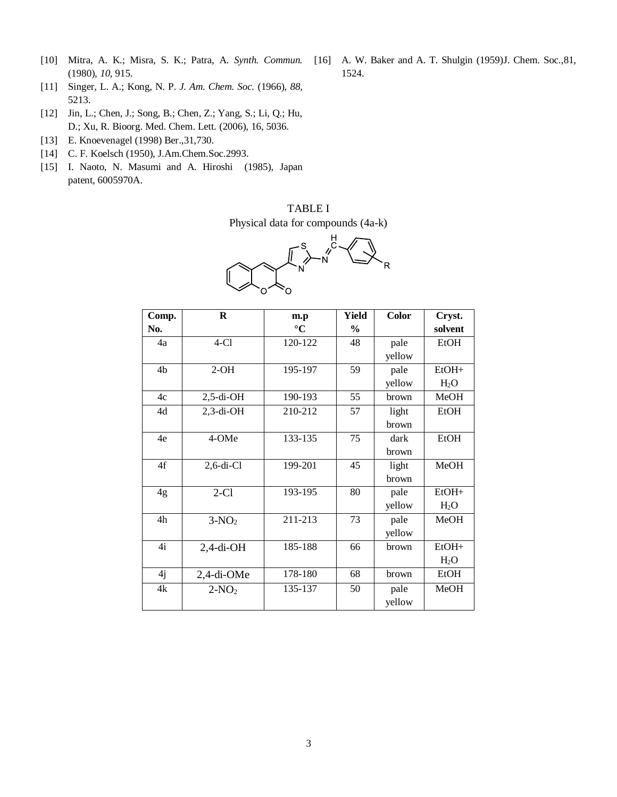- [10] Mitra, A. K.; Misra, S. K.; Patra, A. *Synth. Commun.*  (1980), *10*, 915.
- [11] Singer, L. A.; Kong, N. P. *J. Am. Chem. Soc.* (1966), *88*, 5213.
- [12] Jin, L.; Chen, J.; Song, B.; Chen, Z.; Yang, S.; Li, Q.; Hu, D.; Xu, R. Bioorg. Med. Chem. Lett. (2006), 16, 5036.
- [13] E. Knoevenagel (1998) Ber.,31,730.
- [14] C. F. Koelsch (1950), J.Am.Chem.Soc.2993.
- [15] I. Naoto, N. Masumi and A. Hiroshi (1985), Japan patent, 6005970A.

# TABLE I

Physical data for compounds (4a-k)



| Comp. | $\bf R$       | m.p             | Yield         | Color  | Cryst.           |
|-------|---------------|-----------------|---------------|--------|------------------|
| No.   |               | $\rm ^{\circ}C$ | $\frac{0}{0}$ |        | solvent          |
| 4a    | $4-C1$        | 120-122         | 48            | pale   | <b>EtOH</b>      |
|       |               |                 |               | yellow |                  |
| 4b    | $2-OH$        | 195-197         | 59            | pale   | $EtOH+$          |
|       |               |                 |               | yellow | H <sub>2</sub> O |
| 4c    | $2,5$ -di-OH  | 190-193         | 55            | brown  | MeOH             |
| 4d    | $2,3$ -di-OH  | 210-212         | 57            | light  | <b>EtOH</b>      |
|       |               |                 |               | brown  |                  |
| 4e    | 4-OMe         | 133-135         | 75            | dark   | <b>EtOH</b>      |
|       |               |                 |               | brown  |                  |
| 4f    | $2, 6$ -di-Cl | 199-201         | 45            | light  | MeOH             |
|       |               |                 |               | brown  |                  |
| 4g    | $2-C1$        | 193-195         | 80            | pale   | EtOH+            |
|       |               |                 |               | yellow | H <sub>2</sub> O |
| 4h    | $3-NO2$       | 211-213         | 73            | pale   | MeOH             |
|       |               |                 |               | yellow |                  |
| 4i    | $2,4$ -di-OH  | 185-188         | 66            | brown  | $EtOH+$          |
|       |               |                 |               |        | $H_2O$           |
| 4j    | $2,4$ -di-OMe | 178-180         | 68            | brown  | <b>EtOH</b>      |
| 4k    | $2-NO2$       | 135-137         | 50            | pale   | MeOH             |
|       |               |                 |               | yellow |                  |

[16] A. W. Baker and A. T. Shulgin (1959)J. Chem. Soc.,81, 1524.